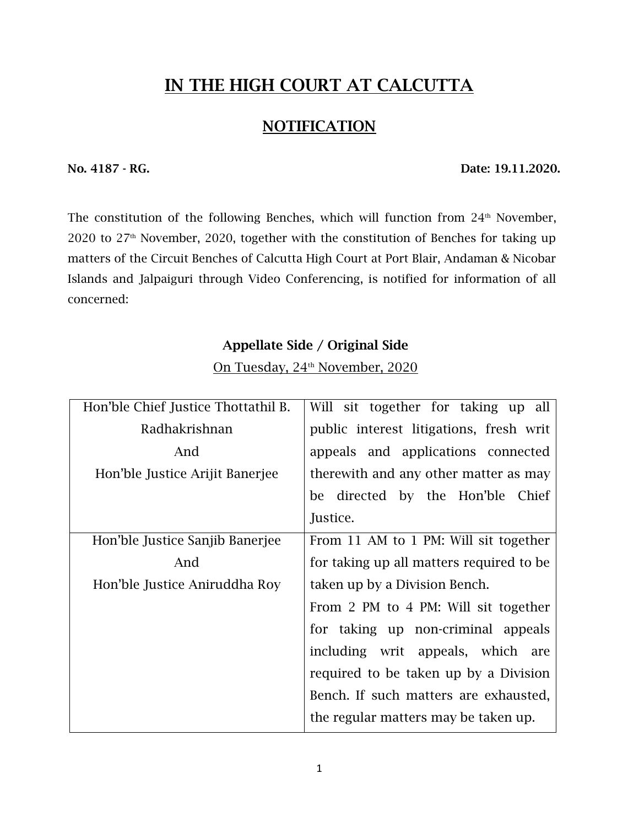### **IN THE HIGH COURT AT CALCUTTA**

### **NOTIFICATION**

**No. 4187 - RG. Date: 19.11.2020.**

The constitution of the following Benches, which will function from  $24<sup>th</sup>$  November, 2020 to  $27<sup>th</sup>$  November, 2020, together with the constitution of Benches for taking up matters of the Circuit Benches of Calcutta High Court at Port Blair, Andaman & Nicobar Islands and Jalpaiguri through Video Conferencing, is notified for information of all concerned:

#### **Appellate Side / Original Side**

On Tuesday, 24<sup>th</sup> November, 2020

| Hon'ble Chief Justice Thottathil B. | Will sit together for taking up all      |
|-------------------------------------|------------------------------------------|
| Radhakrishnan                       | public interest litigations, fresh writ  |
| And                                 | appeals and applications connected       |
| Hon'ble Justice Arijit Banerjee     | therewith and any other matter as may    |
|                                     | be directed by the Hon'ble Chief         |
|                                     | Justice.                                 |
| Hon'ble Justice Sanjib Banerjee     | From 11 AM to 1 PM: Will sit together    |
| And                                 | for taking up all matters required to be |
| Hon'ble Justice Aniruddha Roy       | taken up by a Division Bench.            |
|                                     | From 2 PM to 4 PM: Will sit together     |
|                                     | for taking up non-criminal appeals       |
|                                     | including writ appeals, which are        |
|                                     | required to be taken up by a Division    |
|                                     | Bench. If such matters are exhausted,    |
|                                     | the regular matters may be taken up.     |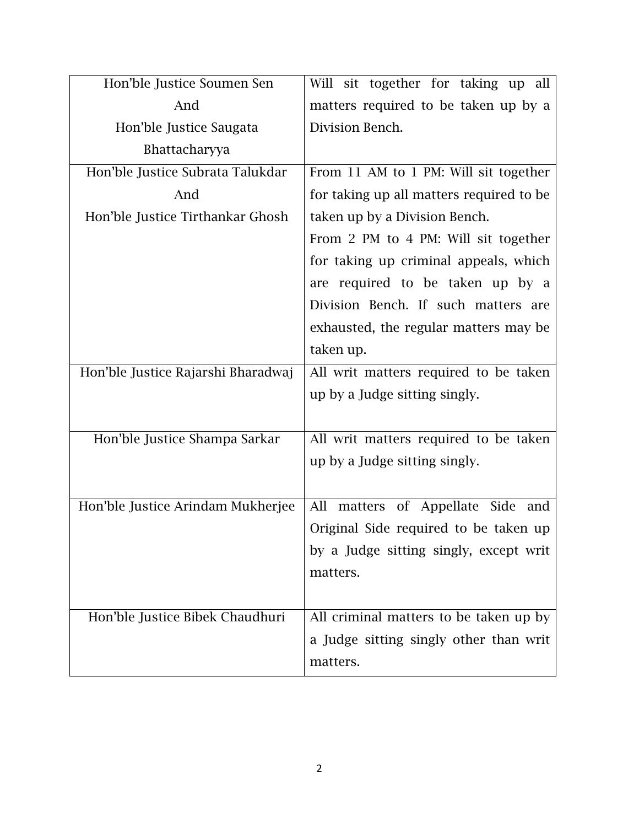| Hon'ble Justice Soumen Sen         | Will sit together for taking up all      |
|------------------------------------|------------------------------------------|
| And                                | matters required to be taken up by a     |
| Hon'ble Justice Saugata            | Division Bench.                          |
| Bhattacharyya                      |                                          |
| Hon'ble Justice Subrata Talukdar   | From 11 AM to 1 PM: Will sit together    |
| And                                | for taking up all matters required to be |
| Hon'ble Justice Tirthankar Ghosh   | taken up by a Division Bench.            |
|                                    | From 2 PM to 4 PM: Will sit together     |
|                                    | for taking up criminal appeals, which    |
|                                    | are required to be taken up by a         |
|                                    | Division Bench. If such matters are      |
|                                    | exhausted, the regular matters may be    |
|                                    | taken up.                                |
| Hon'ble Justice Rajarshi Bharadwaj | All writ matters required to be taken    |
|                                    | up by a Judge sitting singly.            |
|                                    |                                          |
| Hon'ble Justice Shampa Sarkar      | All writ matters required to be taken    |
|                                    | up by a Judge sitting singly.            |
|                                    |                                          |
| Hon'ble Justice Arindam Mukherjee  | matters of Appellate Side and<br>All     |
|                                    | Original Side required to be taken up    |
|                                    | by a Judge sitting singly, except writ   |
|                                    | matters.                                 |
|                                    |                                          |
| Hon'ble Justice Bibek Chaudhuri    | All criminal matters to be taken up by   |
|                                    | a Judge sitting singly other than writ   |
|                                    | matters.                                 |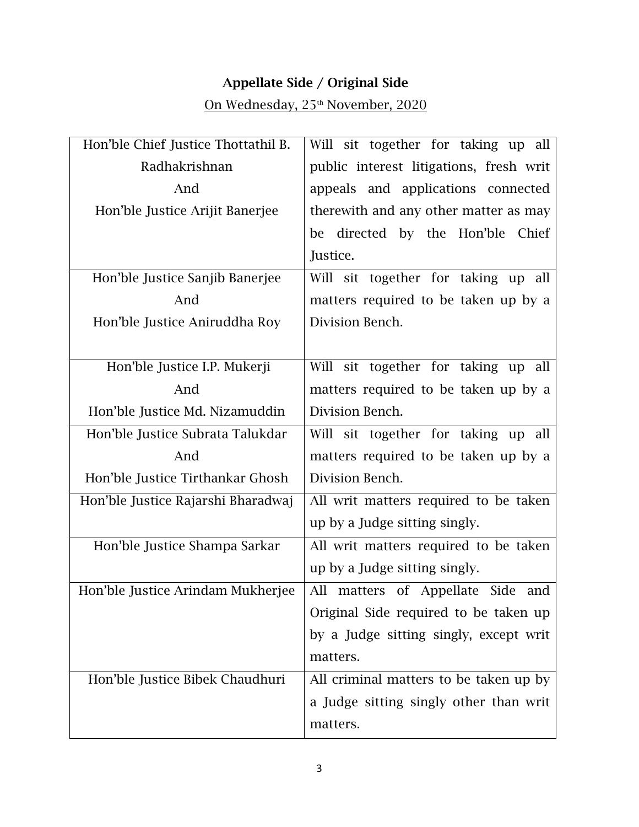### **Appellate Side / Original Side**

## On Wednesday, 25<sup>th</sup> November, 2020

| Hon'ble Chief Justice Thottathil B. | Will sit together for taking up all     |
|-------------------------------------|-----------------------------------------|
| Radhakrishnan                       | public interest litigations, fresh writ |
| And                                 | appeals and applications connected      |
| Hon'ble Justice Arijit Banerjee     | therewith and any other matter as may   |
|                                     | be directed by the Hon'ble Chief        |
|                                     | Justice.                                |
| Hon'ble Justice Sanjib Banerjee     | Will sit together for taking up all     |
| And                                 | matters required to be taken up by a    |
| Hon'ble Justice Aniruddha Roy       | Division Bench.                         |
|                                     |                                         |
| Hon'ble Justice I.P. Mukerji        | Will sit together for taking up all     |
| And                                 | matters required to be taken up by a    |
| Hon'ble Justice Md. Nizamuddin      | Division Bench.                         |
| Hon'ble Justice Subrata Talukdar    | Will sit together for taking up all     |
| And                                 | matters required to be taken up by a    |
| Hon'ble Justice Tirthankar Ghosh    | Division Bench.                         |
| Hon'ble Justice Rajarshi Bharadwaj  | All writ matters required to be taken   |
|                                     | up by a Judge sitting singly.           |
| Hon'ble Justice Shampa Sarkar       | All writ matters required to be taken   |
|                                     | up by a Judge sitting singly.           |
| Hon'ble Justice Arindam Mukherjee   | All matters of Appellate Side<br>and    |
|                                     | Original Side required to be taken up   |
|                                     | by a Judge sitting singly, except writ  |
|                                     | matters.                                |
| Hon'ble Justice Bibek Chaudhuri     | All criminal matters to be taken up by  |
|                                     | a Judge sitting singly other than writ  |
|                                     | matters.                                |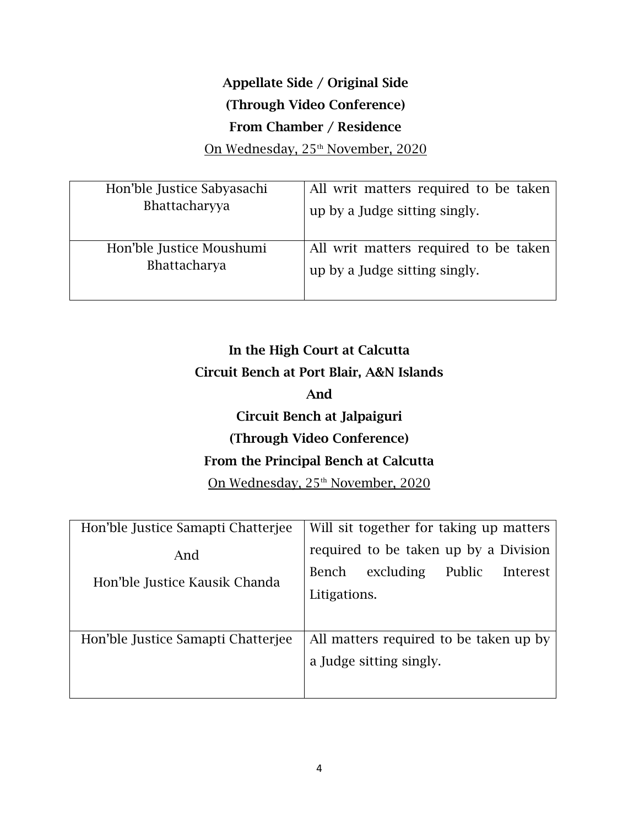# **Appellate Side / Original Side (Through Video Conference) From Chamber / Residence**

On Wednesday, 25<sup>th</sup> November, 2020

| Hon'ble Justice Sabyasachi | All writ matters required to be taken |
|----------------------------|---------------------------------------|
| Bhattacharyya              | up by a Judge sitting singly.         |
| Hon'ble Justice Moushumi   | All writ matters required to be taken |
| Bhattacharya               | up by a Judge sitting singly.         |

# **In the High Court at Calcutta Circuit Bench at Port Blair, A&N Islands And Circuit Bench at Jalpaiguri (Through Video Conference) From the Principal Bench at Calcutta** On Wednesday, 25<sup>th</sup> November, 2020

| Hon'ble Justice Samapti Chatterjee   | Will sit together for taking up matters                                                           |
|--------------------------------------|---------------------------------------------------------------------------------------------------|
| And<br>Hon'ble Justice Kausik Chanda | required to be taken up by a Division<br>excluding<br>Public<br>Bench<br>Interest<br>Litigations. |
| Hon'ble Justice Samapti Chatterjee   | All matters required to be taken up by<br>a Judge sitting singly.                                 |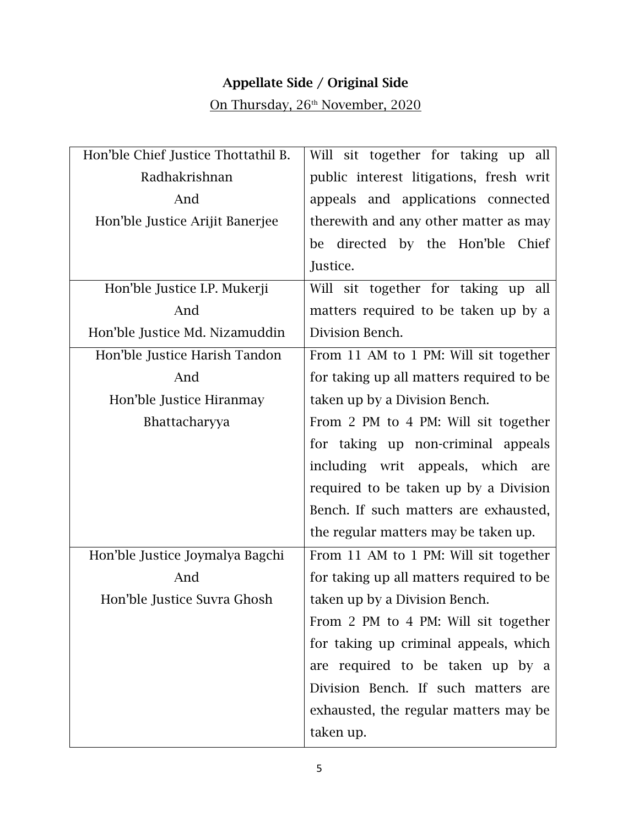### **Appellate Side / Original Side**

# On Thursday, 26<sup>th</sup> November, 2020

| Hon'ble Chief Justice Thottathil B. | Will sit together for taking up all      |
|-------------------------------------|------------------------------------------|
| Radhakrishnan                       | public interest litigations, fresh writ  |
| And                                 | appeals and applications connected       |
| Hon'ble Justice Arijit Banerjee     | therewith and any other matter as may    |
|                                     | be directed by the Hon'ble Chief         |
|                                     | Justice.                                 |
| Hon'ble Justice I.P. Mukerji        | Will sit together for taking up all      |
| And                                 | matters required to be taken up by a     |
| Hon'ble Justice Md. Nizamuddin      | Division Bench.                          |
| Hon'ble Justice Harish Tandon       | From 11 AM to 1 PM: Will sit together    |
| And                                 | for taking up all matters required to be |
| Hon'ble Justice Hiranmay            | taken up by a Division Bench.            |
| Bhattacharyya                       | From 2 PM to 4 PM: Will sit together     |
|                                     | for taking up non-criminal appeals       |
|                                     | including writ appeals, which are        |
|                                     | required to be taken up by a Division    |
|                                     | Bench. If such matters are exhausted,    |
|                                     | the regular matters may be taken up.     |
| Hon'ble Justice Joymalya Bagchi     | From 11 AM to 1 PM: Will sit together    |
| And                                 | for taking up all matters required to be |
| Hon'ble Justice Suvra Ghosh         | taken up by a Division Bench.            |
|                                     | From 2 PM to 4 PM: Will sit together     |
|                                     | for taking up criminal appeals, which    |
|                                     | are required to be taken up by a         |
|                                     | Division Bench. If such matters are      |
|                                     | exhausted, the regular matters may be    |
|                                     | taken up.                                |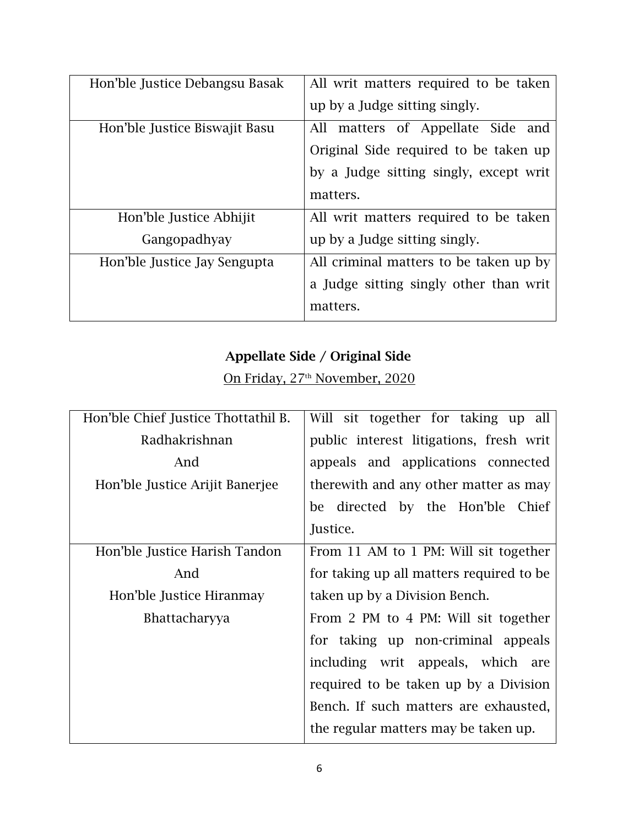| Hon'ble Justice Debangsu Basak | All writ matters required to be taken  |
|--------------------------------|----------------------------------------|
|                                | up by a Judge sitting singly.          |
| Hon'ble Justice Biswajit Basu  | All matters of Appellate Side<br>and   |
|                                | Original Side required to be taken up  |
|                                | by a Judge sitting singly, except writ |
|                                | matters.                               |
| Hon'ble Justice Abhijit        | All writ matters required to be taken  |
| Gangopadhyay                   | up by a Judge sitting singly.          |
| Hon'ble Justice Jay Sengupta   | All criminal matters to be taken up by |
|                                | a Judge sitting singly other than writ |
|                                | matters.                               |

### **Appellate Side / Original Side**

On Friday, 27<sup>th</sup> November, 2020

| Hon'ble Chief Justice Thottathil B. | Will sit together for taking up all      |
|-------------------------------------|------------------------------------------|
| Radhakrishnan                       | public interest litigations, fresh writ  |
| And                                 | appeals and applications connected       |
| Hon'ble Justice Arijit Banerjee     | therewith and any other matter as may    |
|                                     | be directed by the Hon'ble Chief         |
|                                     | Justice.                                 |
| Hon'ble Justice Harish Tandon       | From 11 AM to 1 PM: Will sit together    |
| And                                 | for taking up all matters required to be |
| Hon'ble Justice Hiranmay            | taken up by a Division Bench.            |
| <b>Bhattacharyya</b>                | From 2 PM to 4 PM: Will sit together     |
|                                     | for taking up non-criminal appeals       |
|                                     | including writ appeals, which are        |
|                                     | required to be taken up by a Division    |
|                                     | Bench. If such matters are exhausted,    |
|                                     | the regular matters may be taken up.     |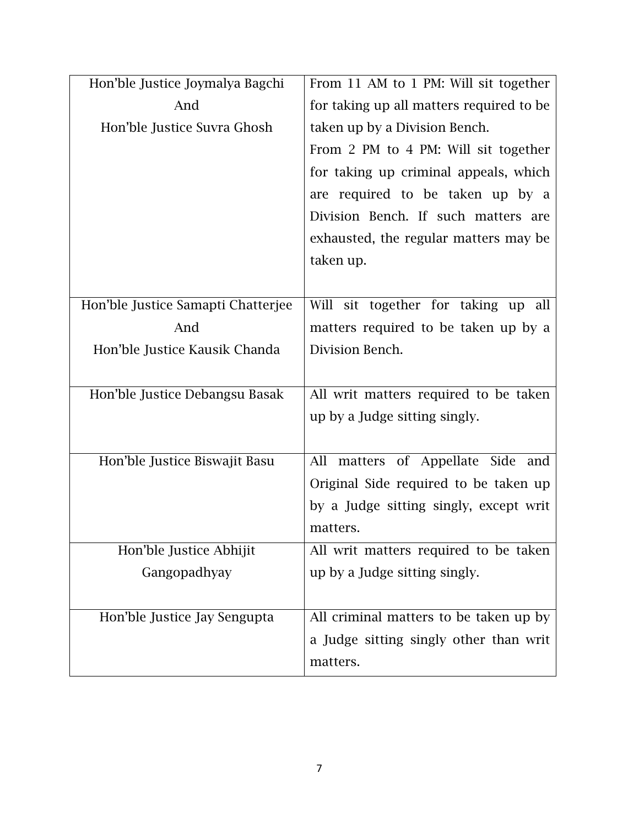| Hon'ble Justice Joymalya Bagchi    | From 11 AM to 1 PM: Will sit together    |
|------------------------------------|------------------------------------------|
| And                                | for taking up all matters required to be |
| Hon'ble Justice Suvra Ghosh        | taken up by a Division Bench.            |
|                                    | From 2 PM to 4 PM: Will sit together     |
|                                    | for taking up criminal appeals, which    |
|                                    | are required to be taken up by a         |
|                                    | Division Bench. If such matters are      |
|                                    | exhausted, the regular matters may be    |
|                                    | taken up.                                |
|                                    |                                          |
| Hon'ble Justice Samapti Chatterjee | Will sit together for taking up all      |
| And                                | matters required to be taken up by a     |
| Hon'ble Justice Kausik Chanda      | Division Bench.                          |
|                                    |                                          |
| Hon'ble Justice Debangsu Basak     | All writ matters required to be taken    |
|                                    | up by a Judge sitting singly.            |
|                                    |                                          |
| Hon'ble Justice Biswajit Basu      | All matters of Appellate Side<br>and     |
|                                    | Original Side required to be taken up    |
|                                    | by a Judge sitting singly, except writ   |
|                                    | matters.                                 |
| Hon'ble Justice Abhijit            | All writ matters required to be taken    |
| Gangopadhyay                       | up by a Judge sitting singly.            |
|                                    |                                          |
| Hon'ble Justice Jay Sengupta       | All criminal matters to be taken up by   |
|                                    | a Judge sitting singly other than writ   |
|                                    | matters.                                 |